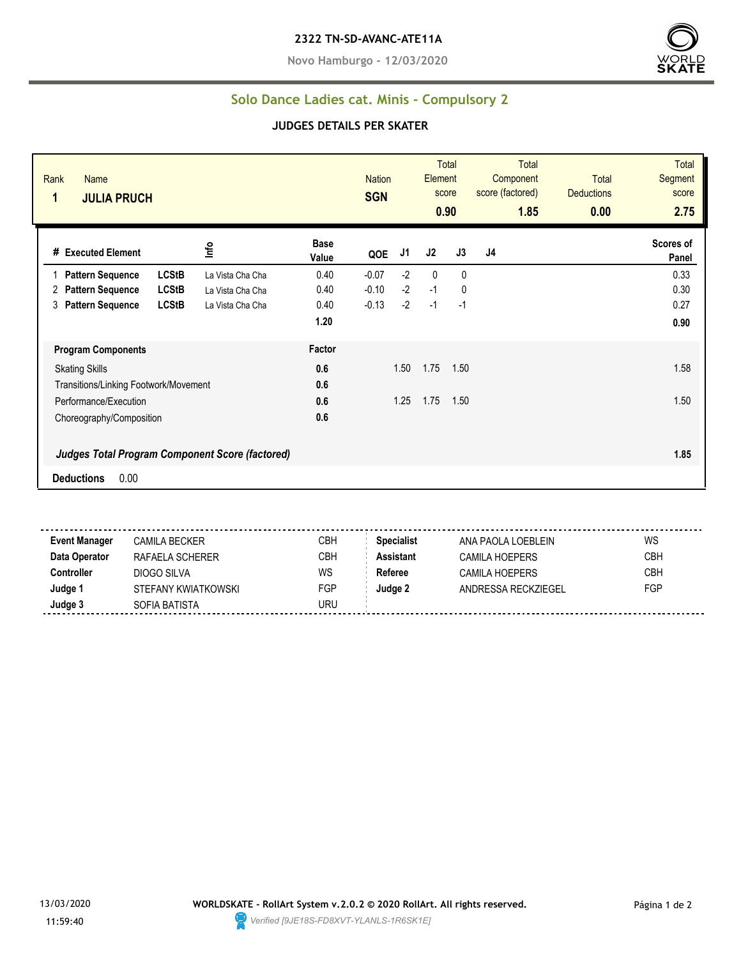**Novo Hamburgo - 12/03/2020**



## **Solo Dance Ladies cat. Minis - Compulsory 2**

## **JUDGES DETAILS PER SKATER**

| Rank<br>Name<br>1<br><b>JULIA PRUCH</b> |                                                 |                      | <b>Nation</b><br><b>SGN</b> |      | Element<br>score | <b>Total</b><br>0.90 | <b>Total</b><br>Component<br>score (factored)<br>1.85 | <b>Total</b><br><b>Deductions</b><br>0.00 | <b>Total</b><br>Segment<br>score<br>2.75 |
|-----------------------------------------|-------------------------------------------------|----------------------|-----------------------------|------|------------------|----------------------|-------------------------------------------------------|-------------------------------------------|------------------------------------------|
| # Executed Element                      | Info                                            | <b>Base</b><br>Value | QOE                         | J1   | J2               | J3                   | J4                                                    |                                           | Scores of<br>Panel                       |
| <b>Pattern Sequence</b>                 | <b>LCStB</b><br>La Vista Cha Cha                | 0.40                 | $-0.07$                     | $-2$ | $\mathbf{0}$     | $\mathbf{0}$         |                                                       |                                           | 0.33                                     |
| <b>Pattern Sequence</b><br>2            | <b>LCStB</b><br>La Vista Cha Cha                | 0.40                 | $-0.10$                     | $-2$ | $-1$             | 0                    |                                                       |                                           | 0.30                                     |
| <b>Pattern Sequence</b><br>3            | <b>LCStB</b><br>La Vista Cha Cha                | 0.40                 | $-0.13$                     | $-2$ | $-1$             | $-1$                 |                                                       |                                           | 0.27                                     |
|                                         |                                                 | 1.20                 |                             |      |                  |                      |                                                       |                                           | 0.90                                     |
| <b>Program Components</b>               |                                                 | Factor               |                             |      |                  |                      |                                                       |                                           |                                          |
| <b>Skating Skills</b>                   |                                                 | 0.6                  |                             | 1.50 | 1.75             | 1.50                 |                                                       |                                           | 1.58                                     |
| Transitions/Linking Footwork/Movement   |                                                 | 0.6                  |                             |      |                  |                      |                                                       |                                           |                                          |
| Performance/Execution                   |                                                 | 0.6                  |                             | 1.25 | 1.75             | 1.50                 |                                                       |                                           | 1.50                                     |
| Choreography/Composition                |                                                 | 0.6                  |                             |      |                  |                      |                                                       |                                           |                                          |
|                                         | Judges Total Program Component Score (factored) |                      |                             |      |                  |                      |                                                       |                                           | 1.85                                     |
| 0.00<br><b>Deductions</b>               |                                                 |                      |                             |      |                  |                      |                                                       |                                           |                                          |

**Event Manager** CAMILA BECKER CREA CBH **Specialist** ANA PAOLA LOEBLEIN WS **Data Operator** RAFAELA SCHERER CBH **Assistant** CAMILA HOEPERS CBH **Controller** DIOGO SILVA WS Referee CAMILA HOEPERS CBH **Judge 1** STEFANY KWIATKOWSKI FGP **Judge 2** ANDRESSA RECKZIEGEL FGP **Judge 3** SOFIA BATISTA SOFIA BATISTA